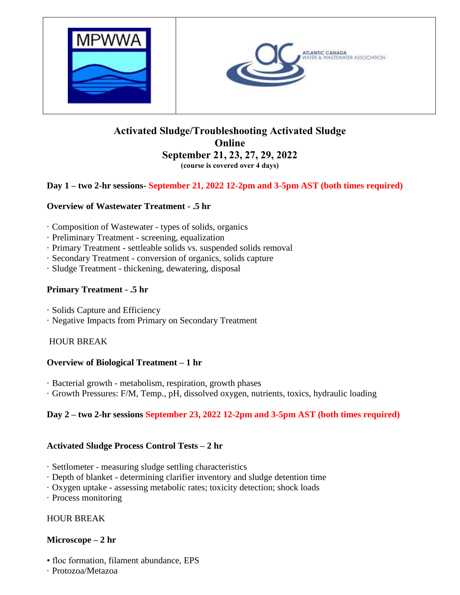



## **Activated Sludge/Troubleshooting Activated Sludge Online September 21, 23, 27, 29, 2022 (course is covered over 4 days)**

### **Day 1 – two 2-hr sessions- September 21, 2022 12-2pm and 3-5pm AST (both times required)**

#### **Overview of Wastewater Treatment - .5 hr**

- · Composition of Wastewater types of solids, organics
- · Preliminary Treatment screening, equalization
- · Primary Treatment settleable solids vs. suspended solids removal
- · Secondary Treatment conversion of organics, solids capture
- · Sludge Treatment thickening, dewatering, disposal

#### **Primary Treatment - .5 hr**

· Solids Capture and Efficiency

· Negative Impacts from Primary on Secondary Treatment

#### HOUR BREAK

#### **Overview of Biological Treatment – 1 hr**

- · Bacterial growth metabolism, respiration, growth phases
- · Growth Pressures: F/M, Temp., pH, dissolved oxygen, nutrients, toxics, hydraulic loading

## **Day 2 – two 2-hr sessions September 23, 2022 12-2pm and 3-5pm AST (both times required)**

#### **Activated Sludge Process Control Tests – 2 hr**

- · Settlometer measuring sludge settling characteristics
- · Depth of blanket determining clarifier inventory and sludge detention time
- · Oxygen uptake assessing metabolic rates; toxicity detection; shock loads
- · Process monitoring

#### HOUR BREAK

#### **Microscope – 2 hr**

- floc formation, filament abundance, EPS
- · Protozoa/Metazoa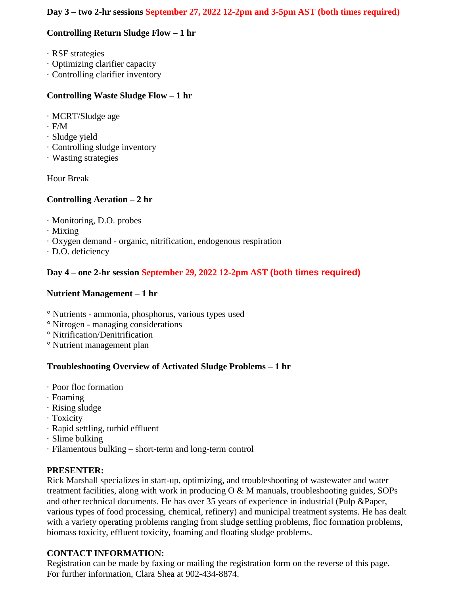#### **Day 3 – two 2-hr sessions September 27, 2022 12-2pm and 3-5pm AST (both times required)**

#### **Controlling Return Sludge Flow – 1 hr**

- · RSF strategies
- · Optimizing clarifier capacity
- · Controlling clarifier inventory

#### **Controlling Waste Sludge Flow – 1 hr**

- · MCRT/Sludge age
- · F/M
- · Sludge yield
- · Controlling sludge inventory
- · Wasting strategies

Hour Break

#### **Controlling Aeration – 2 hr**

- · Monitoring, D.O. probes
- · Mixing
- · Oxygen demand organic, nitrification, endogenous respiration
- · D.O. deficiency

#### **Day 4 – one 2-hr session September 29, 2022 12-2pm AST (both times required)**

#### **Nutrient Management – 1 hr**

- ° Nutrients ammonia, phosphorus, various types used
- ° Nitrogen managing considerations
- ° Nitrification/Denitrification
- ° Nutrient management plan

#### **Troubleshooting Overview of Activated Sludge Problems – 1 hr**

- · Poor floc formation
- · Foaming
- · Rising sludge
- · Toxicity
- · Rapid settling, turbid effluent
- · Slime bulking
- · Filamentous bulking short-term and long-term control

#### **PRESENTER:**

Rick Marshall specializes in start-up, optimizing, and troubleshooting of wastewater and water treatment facilities, along with work in producing O & M manuals, troubleshooting guides, SOPs and other technical documents. He has over 35 years of experience in industrial (Pulp &Paper, various types of food processing, chemical, refinery) and municipal treatment systems. He has dealt with a variety operating problems ranging from sludge settling problems, floc formation problems, biomass toxicity, effluent toxicity, foaming and floating sludge problems.

#### **CONTACT INFORMATION:**

Registration can be made by faxing or mailing the registration form on the reverse of this page. For further information, Clara Shea at 902-434-8874.